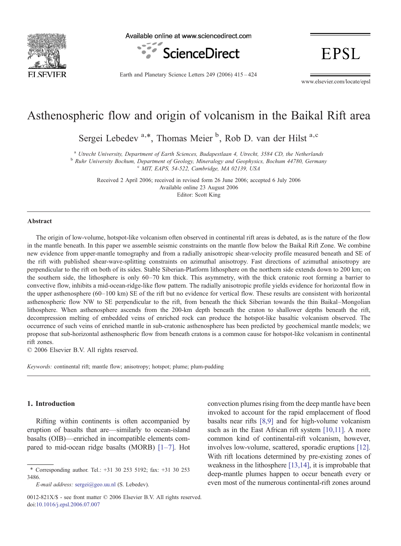

Available online at www.sciencedirect.com



Earth and Planetary Science Letters 249 (2006) 415–424

www.elsevier.com/locate/epsl

**EPSL** 

# Asthenospheric flow and origin of volcanism in the Baikal Rift area

Sergei Lebedev<sup>a,\*</sup>, Thomas Meier<sup>b</sup>, Rob D. van der Hilst<sup>a,c</sup>

<sup>a</sup> Utrecht University, Department of Earth Sciences, Budapestlaan 4, Utrecht, 3584 CD, the Netherlands<br><sup>b</sup> Ruhr University Bochum, Department of Geology, Mineralogy and Geophysics, Bochum 44780, Germany<br><sup>c</sup> MIT, EAPS, 54

Received 2 April 2006; received in revised form 26 June 2006; accepted 6 July 2006 Available online 23 August 2006 Editor: Scott King

#### Abstract

The origin of low-volume, hotspot-like volcanism often observed in continental rift areas is debated, as is the nature of the flow in the mantle beneath. In this paper we assemble seismic constraints on the mantle flow below the Baikal Rift Zone. We combine new evidence from upper-mantle tomography and from a radially anisotropic shear-velocity profile measured beneath and SE of the rift with published shear-wave-splitting constraints on azimuthal anisotropy. Fast directions of azimuthal anisotropy are perpendicular to the rift on both of its sides. Stable Siberian-Platform lithosphere on the northern side extends down to 200 km; on the southern side, the lithosphere is only 60–70 km thick. This asymmetry, with the thick cratonic root forming a barrier to convective flow, inhibits a mid-ocean-ridge-like flow pattern. The radially anisotropic profile yields evidence for horizontal flow in the upper asthenosphere (60–100 km) SE of the rift but no evidence for vertical flow. These results are consistent with horizontal asthenospheric flow NW to SE perpendicular to the rift, from beneath the thick Siberian towards the thin Baikal–Mongolian lithosphere. When asthenosphere ascends from the 200-km depth beneath the craton to shallower depths beneath the rift, decompression melting of embedded veins of enriched rock can produce the hotspot-like basaltic volcanism observed. The occurrence of such veins of enriched mantle in sub-cratonic asthenosphere has been predicted by geochemical mantle models; we propose that sub-horizontal asthenospheric flow from beneath cratons is a common cause for hotspot-like volcanism in continental rift zones.

© 2006 Elsevier B.V. All rights reserved.

Keywords: continental rift; mantle flow; anisotropy; hotspot; plume; plum-pudding

#### 1. Introduction

Rifting within continents is often accompanied by eruption of basalts that are—similarly to ocean-island basalts (OIB)—enriched in incompatible elements compared to mid-ocean ridge basalts (MORB) [1–[7\].](#page-8-0) Hot

convection plumes rising from the deep mantle have been invoked to account for the rapid emplacement of flood basalts near rifts [\[8,9\]](#page-8-0) and for high-volume volcanism such as in the East African rift system [\[10,11\].](#page-8-0) A more common kind of continental-rift volcanism, however, involves low-volume, scattered, sporadic eruptions [\[12\].](#page-8-0) With rift locations determined by pre-existing zones of weakness in the lithosphere [\[13,14\]](#page-8-0), it is improbable that deep-mantle plumes happen to occur beneath every or even most of the numerous continental-rift zones around

<sup>⁎</sup> Corresponding author. Tel.: +31 30 253 5192; fax: +31 30 253 3486.

E-mail address: [sergei@geo.uu.nl](mailto:sergei@geo.uu.nl) (S. Lebedev).

<sup>0012-821</sup>X/\$ - see front matter © 2006 Elsevier B.V. All rights reserved. doi[:10.1016/j.epsl.2006.07.007](http://dx.doi.org/10.1016/j.epsl.2006.07.007)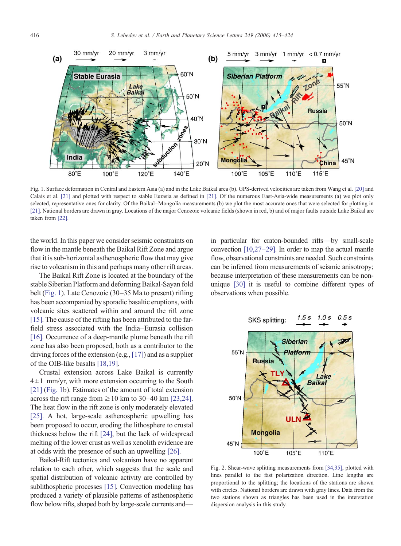<span id="page-1-0"></span>

Fig. 1. Surface deformation in Central and Eastern Asia (a) and in the Lake Baikal area (b). GPS-derived velocities are taken from Wang et al. [\[20\]](#page-8-0) and Calais et al. [\[21\]](#page-9-0) and plotted with respect to stable Eurasia as defined in [\[21\]](#page-9-0). Of the numerous East-Asia-wide measurements (a) we plot only selected, representative ones for clarity. Of the Baikal–Mongolia measurements (b) we plot the most accurate ones that were selected for plotting in [\[21\]](#page-9-0). National borders are drawn in gray. Locations of the major Cenozoic volcanic fields (shown in red, b) and of major faults outside Lake Baikal are taken from [\[22\]](#page-9-0).

the world. In this paper we consider seismic constraints on flow in the mantle beneath the Baikal Rift Zone and argue that it is sub-horizontal asthenospheric flow that may give rise to volcanism in this and perhaps many other rift areas.

The Baikal Rift Zone is located at the boundary of the stable Siberian Platform and deforming Baikal-Sayan fold belt (Fig. 1). Late Cenozoic (30–35 Ma to present) rifting has been accompanied by sporadic basaltic eruptions, with volcanic sites scattered within and around the rift zone [\[15\]](#page-8-0). The cause of the rifting has been attributed to the farfield stress associated with the India–Eurasia collision [\[16\]](#page-8-0). Occurrence of a deep-mantle plume beneath the rift zone has also been proposed, both as a contributor to the driving forces of the extension (e.g.,[\[17\]\)](#page-8-0) and as a supplier of the OIB-like basalts [\[18,19\].](#page-8-0)

Crustal extension across Lake Baikal is currently  $4 \pm 1$  mm/yr, with more extension occurring to the South [\[21\]](#page-9-0) (Fig. 1b). Estimates of the amount of total extension across the rift range from  $\geq 10$  km to 30–40 km [\[23,24\].](#page-9-0) The heat flow in the rift zone is only moderately elevated [\[25\]](#page-9-0). A hot, large-scale asthenospheric upwelling has been proposed to occur, eroding the lithosphere to crustal thickness below the rift [\[24\]](#page-9-0), but the lack of widespread melting of the lower crust as well as xenolith evidence are at odds with the presence of such an upwelling [\[26\]](#page-9-0).

Baikal-Rift tectonics and volcanism have no apparent relation to each other, which suggests that the scale and spatial distribution of volcanic activity are controlled by sublithospheric processes [\[15\]](#page-8-0). Convection modeling has produced a variety of plausible patterns of asthenospheric flow below rifts, shaped both by large-scale currents and—

in particular for craton-bounded rifts—by small-scale convection [\[10,27](#page-8-0)–29]. In order to map the actual mantle flow, observational constraints are needed. Such constraints can be inferred from measurements of seismic anisotropy; because interpretation of these measurements can be nonunique [\[30\]](#page-9-0) it is useful to combine different types of observations when possible.



Fig. 2. Shear-wave splitting measurements from [\[34,35\],](#page-9-0) plotted with lines parallel to the fast polarization direction. Line lengths are proportional to the splitting; the locations of the stations are shown with circles. National borders are drawn with gray lines. Data from the two stations shown as triangles has been used in the interstation dispersion analysis in this study.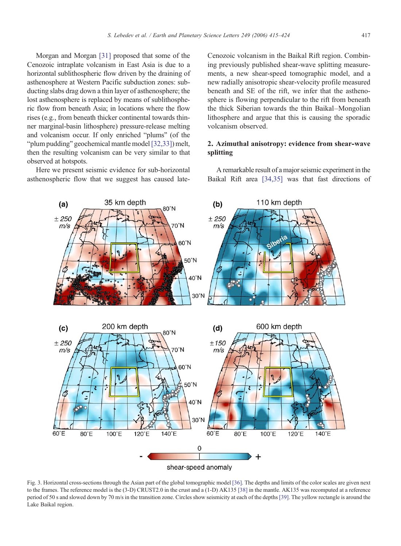<span id="page-2-0"></span>Morgan and Morgan [\[31\]](#page-9-0) proposed that some of the Cenozoic intraplate volcanism in East Asia is due to a horizontal sublithospheric flow driven by the draining of asthenosphere at Western Pacific subduction zones: subducting slabs drag down a thin layer of asthenosphere; the lost asthenosphere is replaced by means of sublithospheric flow from beneath Asia; in locations where the flow rises (e.g., from beneath thicker continental towards thinner marginal-basin lithosphere) pressure-release melting and volcanism occur. If only enriched "plums" (of the "plum pudding" geochemical mantle model [\[32,33\]\)](#page-9-0) melt, then the resulting volcanism can be very similar to that observed at hotspots.

Here we present seismic evidence for sub-horizontal asthenospheric flow that we suggest has caused lateCenozoic volcanism in the Baikal Rift region. Combining previously published shear-wave splitting measurements, a new shear-speed tomographic model, and a new radially anisotropic shear-velocity profile measured beneath and SE of the rift, we infer that the asthenosphere is flowing perpendicular to the rift from beneath the thick Siberian towards the thin Baikal–Mongolian lithosphere and argue that this is causing the sporadic volcanism observed.

# 2. Azimuthal anisotropy: evidence from shear-wave splitting

A remarkable result of a major seismic experiment in the Baikal Rift area [\[34,35\]](#page-9-0) was that fast directions of



Fig. 3. Horizontal cross-sections through the Asian part of the global tomographic model [\[36\]](#page-9-0). The depths and limits of the color scales are given next to the frames. The reference model is the (3-D) CRUST2.0 in the crust and a (1-D) AK135 [\[38\]](#page-9-0) in the mantle. AK135 was recomputed at a reference period of 50 s and slowed down by 70 m/s in the transition zone. Circles show seismicity at each of the depths [\[39\]](#page-9-0). The yellow rectangle is around the Lake Baikal region.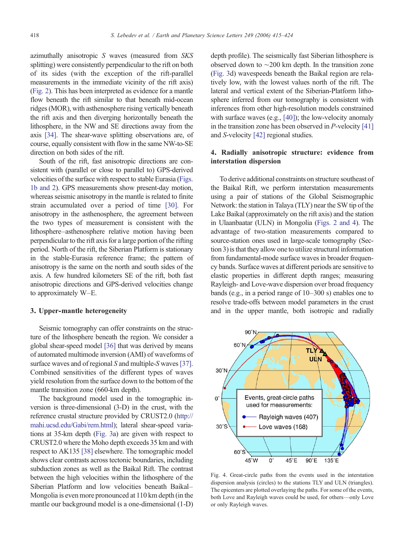azimuthally anisotropic S waves (measured from SKS splitting) were consistently perpendicular to the rift on both of its sides (with the exception of the rift-parallel measurements in the immediate vicinity of the rift axis) [\(Fig. 2](#page-1-0)). This has been interpreted as evidence for a mantle flow beneath the rift similar to that beneath mid-ocean ridges (MOR), with asthenosphere rising vertically beneath the rift axis and then diverging horizontally beneath the lithosphere, in the NW and SE directions away from the axis [\[34\]](#page-9-0). The shear-wave splitting observations are, of course, equally consistent with flow in the same NW-to-SE direction on both sides of the rift.

South of the rift, fast anisotropic directions are consistent with (parallel or close to parallel to) GPS-derived velocities of the surface with respect to stable Eurasia ([Figs.](#page-1-0) [1b and 2\)](#page-1-0). GPS measurements show present-day motion, whereas seismic anisotropy in the mantle is related to finite strain accumulated over a period of time [\[30\]](#page-9-0). For anisotropy in the asthenosphere, the agreement between the two types of measurement is consistent with the lithosphere–asthenosphere relative motion having been perpendicular to the rift axis for a large portion of the rifting period. North of the rift, the Siberian Platform is stationary in the stable-Eurasia reference frame; the pattern of anisotropy is the same on the north and south sides of the axis. A few hundred kilometers SE of the rift, both fast anisotropic directions and GPS-derived velocities change to approximately W–E.

### 3. Upper-mantle heterogeneity

Seismic tomography can offer constraints on the structure of the lithosphere beneath the region. We consider a global shear-speed model [\[36\]](#page-9-0) that was derived by means of automated multimode inversion (AMI) of waveforms of surface waves and of regional S and multiple-S waves [\[37\].](#page-9-0) Combined sensitivities of the different types of waves yield resolution from the surface down to the bottom of the mantle transition zone (660-km depth).

The background model used in the tomographic inversion is three-dimensional (3-D) in the crust, with the reference crustal structure provided by CRUST2.0 [\(http://](http:////mahi.ucsd.edu/Gabi/rem.html) [mahi.ucsd.edu/Gabi/rem.html\)](http:////mahi.ucsd.edu/Gabi/rem.html); lateral shear-speed variations at 35-km depth [\(Fig. 3](#page-2-0)a) are given with respect to CRUST2.0 where the Moho depth exceeds 35 km and with respect to AK135 [\[38\]](#page-9-0) elsewhere. The tomographic model shows clear contrasts across tectonic boundaries, including subduction zones as well as the Baikal Rift. The contrast between the high velocities within the lithosphere of the Siberian Platform and low velocities beneath Baikal– Mongolia is even more pronounced at 110 km depth (in the mantle our background model is a one-dimensional (1-D) depth profile). The seismically fast Siberian lithosphere is observed down to ∼200 km depth. In the transition zone [\(Fig. 3](#page-2-0)d) wavespeeds beneath the Baikal region are relatively low, with the lowest values north of the rift. The lateral and vertical extent of the Siberian-Platform lithosphere inferred from our tomography is consistent with inferences from other high-resolution models constrained with surface waves (e.g., [\[40\]\)](#page-9-0); the low-velocity anomaly in the transition zone has been observed in  $P$ -velocity [\[41\]](#page-9-0) and S-velocity [\[42\]](#page-9-0) regional studies.

# 4. Radially anisotropic structure: evidence from interstation dispersion

To derive additional constraints on structure southeast of the Baikal Rift, we perform interstation measurements using a pair of stations of the Global Seismographic Network: the station in Talaya (TLY) near the SW tip of the Lake Baikal (approximately on the rift axis) and the station in Ulaanbaatar (ULN) in Mongolia ([Figs. 2 and 4](#page-1-0)). The advantage of two-station measurements compared to source-station ones used in large-scale tomography (Section 3) is that they allow one to utilize structural information from fundamental-mode surface waves in broader frequency bands. Surface waves at different periods are sensitive to elastic properties in different depth ranges; measuring Rayleigh- and Love-wave dispersion over broad frequency bands (e.g., in a period range of 10–300 s) enables one to resolve trade-offs between model parameters in the crust and in the upper mantle, both isotropic and radially



Fig. 4. Great-circle paths from the events used in the interstation dispersion analysis (circles) to the stations TLY and ULN (triangles). The epicenters are plotted overlaying the paths. For some of the events, both Love and Rayleigh waves could be used, for others—only Love or only Rayleigh waves.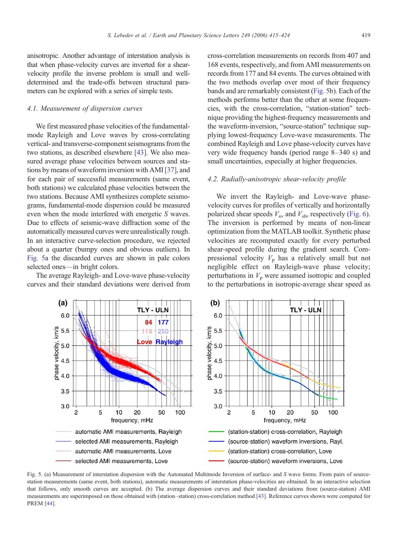anisotropic. Another advantage of interstation analysis is that when phase-velocity curves are inverted for a shearvelocity profile the inverse problem is small and welldetermined and the trade-offs between structural para-

## 4.1. Measurement of dispersion curves

meters can be explored with a series of simple tests.

We first measured phase velocities of the fundamentalmode Rayleigh and Love waves by cross-correlating vertical- and transverse-component seismograms from the two stations, as described elsewhere [\[43\].](#page-9-0) We also measured average phase velocities between sources and stations by means of waveform inversion with AMI [\[37\],](#page-9-0) and for each pair of successful measurements (same event, both stations) we calculated phase velocities between the two stations. Because AMI synthesizes complete seismograms, fundamental-mode dispersion could be measured even when the mode interfered with energetic S waves. Due to effects of seismic-wave diffraction some of the automatically measured curves were unrealistically rough. In an interactive curve-selection procedure, we rejected about a quarter (bumpy ones and obvious outliers). In Fig. 5a the discarded curves are shown in pale colors selected ones—in bright colors.

The average Rayleigh- and Love-wave phase-velocity curves and their standard deviations were derived from cross-correlation measurements on records from 407 and 168 events, respectively, and from AMI measurements on records from 177 and 84 events. The curves obtained with the two methods overlap over most of their frequency bands and are remarkably consistent (Fig. 5b). Each of the methods performs better than the other at some frequencies, with the cross-correlation, "station-station" technique providing the highest-frequency measurements and the waveform-inversion, "source-station" technique supplying lowest-frequency Love-wave measurements. The combined Rayleigh and Love phase-velocity curves have very wide frequency bands (period range 8–340 s) and small uncertainties, especially at higher frequencies.

## 4.2. Radially-anisotropic shear-velocity profile

We invert the Rayleigh- and Love-wave phasevelocity curves for profiles of vertically and horizontally polarized shear speeds  $V_{\rm sv}$  and  $V_{\rm sh}$ , respectively [\(Fig. 6](#page-5-0)). The inversion is performed by means of non-linear optimization from the MATLAB toolkit. Synthetic phase velocities are recomputed exactly for every perturbed shear-speed profile during the gradient search. Compressional velocity  $V_p$  has a relatively small but not negligible effect on Rayleigh-wave phase velocity; perturbations in  $V_p$  were assumed isotropic and coupled to the perturbations in isotropic-average shear speed as



Fig. 5. (a) Measurement of interstation dispersion with the Automated Multimode Inversion of surface- and S wave forms. From pairs of sourcestation measurements (same event, both stations), automatic measurements of interstation phase-velocities are obtained. In an interactive selection that follows, only smooth curves are accepted. (b) The average dispersion curves and their standard deviations from (source-station) AMI measurements are superimposed on those obtained with (station–station) cross-correlation method [\[43\]](#page-9-0). Reference curves shown were computed for PREM [\[44\].](#page-9-0)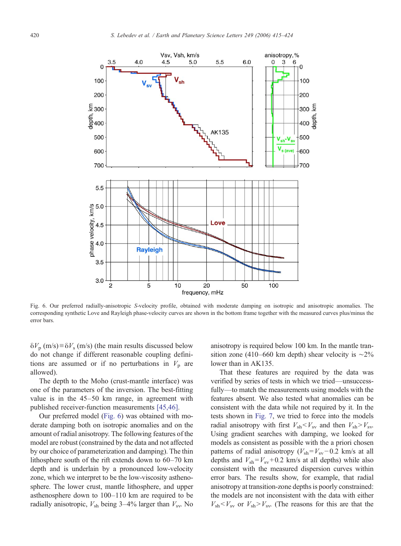<span id="page-5-0"></span>

Fig. 6. Our preferred radially-anisotropic S-velocity profile, obtained with moderate damping on isotropic and anisotropic anomalies. The corresponding synthetic Love and Rayleigh phase-velocity curves are shown in the bottom frame together with the measured curves plus/minus the error bars.

 $\delta V_p$  (m/s)≡ $\delta V_s$  (m/s) (the main results discussed below do not change if different reasonable coupling definitions are assumed or if no perturbations in  $V_p$  are allowed).

The depth to the Moho (crust-mantle interface) was one of the parameters of the inversion. The best-fitting value is in the 45–50 km range, in agreement with published receiver-function measurements [\[45,46\].](#page-9-0)

Our preferred model (Fig. 6) was obtained with moderate damping both on isotropic anomalies and on the amount of radial anisotropy. The following features of the model are robust (constrained by the data and not affected by our choice of parameterization and damping). The thin lithosphere south of the rift extends down to 60–70 km depth and is underlain by a pronounced low-velocity zone, which we interpret to be the low-viscosity asthenosphere. The lower crust, mantle lithosphere, and upper asthenosphere down to 100–110 km are required to be radially anisotropic,  $V_{\rm sh}$  being 3–4% larger than  $V_{\rm sv}$ . No anisotropy is required below 100 km. In the mantle transition zone (410–660 km depth) shear velocity is  $\sim$ 2% lower than in AK135.

That these features are required by the data was verified by series of tests in which we tried—unsuccessfully—to match the measurements using models with the features absent. We also tested what anomalies can be consistent with the data while not required by it. In the tests shown in [Fig. 7](#page-6-0), we tried to force into the models radial anisotropy with first  $V_{\rm sh} < V_{\rm sv}$  and then  $V_{\rm sh} > V_{\rm sv}$ . Using gradient searches with damping, we looked for models as consistent as possible with the a priori chosen patterns of radial anisotropy ( $V_{\text{sh}}=V_{\text{sv}}-0.2$  km/s at all depths and  $V_{\rm sh} = V_{\rm sv} + 0.2$  km/s at all depths) while also consistent with the measured dispersion curves within error bars. The results show, for example, that radial anisotropy at transition-zone depths is poorly constrained: the models are not inconsistent with the data with either  $V_{\rm sh}$   $\lt$   $V_{\rm sv}$  or  $V_{\rm sh}$   $\gt$   $V_{\rm sv}$ . (The reasons for this are that the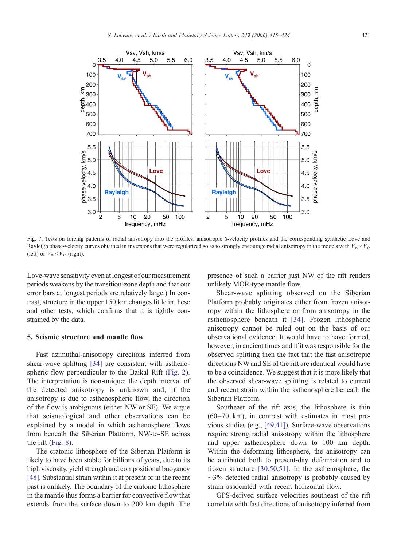<span id="page-6-0"></span>

Fig. 7. Tests on forcing patterns of radial anisotropy into the profiles: anisotropic S-velocity profiles and the corresponding synthetic Love and Rayleigh phase-velocity curves obtained in inversions that were regularized so as to strongly encourage radial anisotropy in the models with  $V_{sv} > V_{sh}$ (left) or  $V_{\rm sv} < V_{\rm sh}$  (right).

Love-wave sensitivity even at longest of our measurement periods weakens by the transition-zone depth and that our error bars at longest periods are relatively large.) In contrast, structure in the upper 150 km changes little in these and other tests, which confirms that it is tightly constrained by the data.

# 5. Seismic structure and mantle flow

Fast azimuthal-anisotropy directions inferred from shear-wave splitting [\[34\]](#page-9-0) are consistent with asthenospheric flow perpendicular to the Baikal Rift ([Fig. 2](#page-1-0)). The interpretation is non-unique: the depth interval of the detected anisotropy is unknown and, if the anisotropy is due to asthenospheric flow, the direction of the flow is ambiguous (either NW or SE). We argue that seismological and other observations can be explained by a model in which asthenosphere flows from beneath the Siberian Platform, NW-to-SE across the rift ([Fig. 8\)](#page-7-0).

The cratonic lithosphere of the Siberian Platform is likely to have been stable for billions of years, due to its high viscosity, yield strength and compositional buoyancy [\[48\].](#page-9-0) Substantial strain within it at present or in the recent past is unlikely. The boundary of the cratonic lithosphere in the mantle thus forms a barrier for convective flow that extends from the surface down to 200 km depth. The presence of such a barrier just NW of the rift renders unlikely MOR-type mantle flow.

Shear-wave splitting observed on the Siberian Platform probably originates either from frozen anisotropy within the lithosphere or from anisotropy in the asthenosphere beneath it [\[34\]](#page-9-0). Frozen lithospheric anisotropy cannot be ruled out on the basis of our observational evidence. It would have to have formed, however, in ancient times and if it was responsible for the observed splitting then the fact that the fast anisotropic directions NW and SE of the rift are identical would have to be a coincidence. We suggest that it is more likely that the observed shear-wave splitting is related to current and recent strain within the asthenosphere beneath the Siberian Platform.

Southeast of the rift axis, the lithosphere is thin (60–70 km), in contrast with estimates in most previous studies (e.g., [\[49,41\]\)](#page-9-0). Surface-wave observations require strong radial anisotropy within the lithosphere and upper asthenosphere down to 100 km depth. Within the deforming lithosphere, the anisotropy can be attributed both to present-day deformation and to frozen structure [\[30,50,51\].](#page-9-0) In the asthenosphere, the ∼3% detected radial anisotropy is probably caused by strain associated with recent horizontal flow.

GPS-derived surface velocities southeast of the rift correlate with fast directions of anisotropy inferred from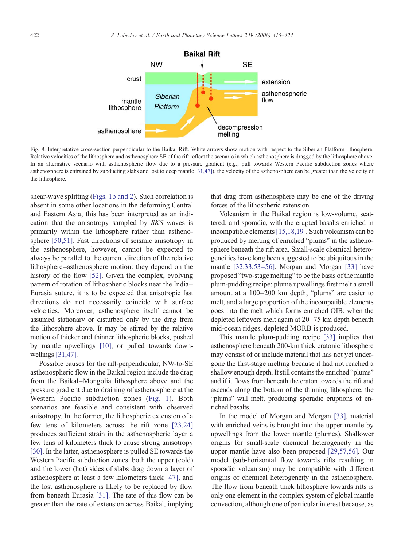<span id="page-7-0"></span>

Fig. 8. Interpretative cross-section perpendicular to the Baikal Rift. White arrows show motion with respect to the Siberian Platform lithosphere. Relative velocities of the lithosphere and asthenosphere SE of the rift reflect the scenario in which asthenosphere is dragged by the lithosphere above. In an alternative scenario with asthenospheric flow due to a pressure gradient (e.g., pull towards Western Pacific subduction zones where asthenosphere is entrained by subducting slabs and lost to deep mantle [\[31,47\]](#page-9-0)), the velocity of the asthenosphere can be greater than the velocity of the lithosphere.

shear-wave splitting ([Figs. 1b and 2](#page-1-0)). Such correlation is absent in some other locations in the deforming Central and Eastern Asia; this has been interpreted as an indication that the anisotropy sampled by SKS waves is primarily within the lithosphere rather than asthenosphere [\[50,51\].](#page-9-0) Fast directions of seismic anisotropy in the asthenosphere, however, cannot be expected to always be parallel to the current direction of the relative lithosphere–asthenosphere motion: they depend on the history of the flow [\[52\].](#page-9-0) Given the complex, evolving pattern of rotation of lithospheric blocks near the India– Eurasia suture, it is to be expected that anisotropic fast directions do not necessarily coincide with surface velocities. Moreover, asthenosphere itself cannot be assumed stationary or disturbed only by the drag from the lithosphere above. It may be stirred by the relative motion of thicker and thinner lithospheric blocks, pushed by mantle upwellings [\[10\],](#page-8-0) or pulled towards downwellings [\[31,47\]](#page-9-0).

Possible causes for the rift-perpendicular, NW-to-SE asthenospheric flow in the Baikal region include the drag from the Baikal–Mongolia lithosphere above and the pressure gradient due to draining of asthenosphere at the Western Pacific subduction zones ([Fig. 1\)](#page-1-0). Both scenarios are feasible and consistent with observed anisotropy. In the former, the lithospheric extension of a few tens of kilometers across the rift zone [\[23,24\]](#page-9-0) produces sufficient strain in the asthenospheric layer a few tens of kilometers thick to cause strong anisotropy [\[30\].](#page-9-0) In the latter, asthenosphere is pulled SE towards the Western Pacific subduction zones: both the upper (cold) and the lower (hot) sides of slabs drag down a layer of asthenosphere at least a few kilometers thick [\[47\]](#page-9-0), and the lost asthenosphere is likely to be replaced by flow from beneath Eurasia [\[31\].](#page-9-0) The rate of this flow can be greater than the rate of extension across Baikal, implying

that drag from asthenosphere may be one of the driving forces of the lithospheric extension.

Volcanism in the Baikal region is low-volume, scattered, and sporadic, with the erupted basalts enriched in incompatible elements[\[15,18,19\]](#page-8-0). Such volcanism can be produced by melting of enriched "plums" in the asthenosphere beneath the rift area. Small-scale chemical heterogeneities have long been suggested to be ubiquitous in the mantle [\[32,33,53](#page-9-0)–56]. Morgan and Morgan [\[33\]](#page-9-0) have proposed "two-stage melting" to be the basis of the mantle plum-pudding recipe: plume upwellings first melt a small amount at a 100–200 km depth; "plums" are easier to melt, and a large proportion of the incompatible elements goes into the melt which forms enriched OIB; when the depleted leftovers melt again at 20–75 km depth beneath mid-ocean ridges, depleted MORB is produced.

This mantle plum-pudding recipe [\[33\]](#page-9-0) implies that asthenosphere beneath 200-km thick cratonic lithosphere may consist of or include material that has not yet undergone the first-stage melting because it had not reached a shallow enough depth. It still contains the enriched "plums" and if it flows from beneath the craton towards the rift and ascends along the bottom of the thinning lithosphere, the "plums" will melt, producing sporadic eruptions of enriched basalts.

In the model of Morgan and Morgan [\[33\],](#page-9-0) material with enriched veins is brought into the upper mantle by upwellings from the lower mantle (plumes). Shallower origins for small-scale chemical heterogeneity in the upper mantle have also been proposed [\[29,57,56\].](#page-9-0) Our model (sub-horizontal flow towards rifts resulting in sporadic volcanism) may be compatible with different origins of chemical heterogeneity in the asthenosphere. The flow from beneath thick lithosphere towards rifts is only one element in the complex system of global mantle convection, although one of particular interest because, as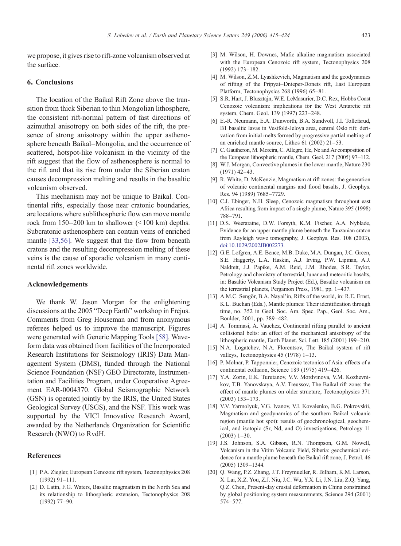<span id="page-8-0"></span>we propose, it gives rise to rift-zone volcanism observed at the surface.

# 6. Conclusions

The location of the Baikal Rift Zone above the transition from thick Siberian to thin Mongolian lithosphere, the consistent rift-normal pattern of fast directions of azimuthal anisotropy on both sides of the rift, the presence of strong anisotropy within the upper asthenosphere beneath Baikal–Mongolia, and the occurrence of scattered, hotspot-like volcanism in the vicinity of the rift suggest that the flow of asthenosphere is normal to the rift and that its rise from under the Siberian craton causes decompression melting and results in the basaltic volcanism observed.

This mechanism may not be unique to Baikal. Continental rifts, especially those near cratonic boundaries, are locations where sublithospheric flow can move mantle rock from  $150-200$  km to shallower  $(\leq 100$  km) depths. Subcratonic asthenosphere can contain veins of enriched mantle [\[33,56\]](#page-9-0). We suggest that the flow from beneath cratons and the resulting decompression melting of these veins is the cause of sporadic volcanism in many continental rift zones worldwide.

## Acknowledgements

We thank W. Jason Morgan for the enlightening discussions at the 2005 "Deep Earth" workshop in Frejus. Comments from Greg Houseman and from anonymous referees helped us to improve the manuscript. Figures were generated with Generic Mapping Tools [\[58\]](#page-9-0). Waveform data was obtained from facilities of the Incorporated Research Institutions for Seismology (IRIS) Data Management System (DMS), funded through the National Science Foundation (NSF) GEO Directorate, Instrumentation and Facilities Program, under Cooperative Agreement EAR-0004370. Global Seismographic Network (GSN) is operated jointly by the IRIS, the United States Geological Survey (USGS), and the NSF. This work was supported by the VICI Innovative Research Award, awarded by the Netherlands Organization for Scientific Research (NWO) to RvdH.

## References

- [1] P.A. Ziegler, European Cenozoic rift system, Tectonophysics 208 (1992) 91–111.
- [2] D. Latin, F.G. Waters, Basaltic magmatism in the North Sea and its relationship to lithospheric extension, Tectonophysics 208 (1992) 77–90.
- [3] M. Wilson, H. Downes, Mafic alkaline magmatism associated with the European Cenozoic rift system, Tectonophysics 208 (1992) 173–182.
- [4] M. Wilson, Z.M. Lyashkevich, Magmatism and the geodynamics of rifting of the Pripyat–Dnieper-Donets rift, East European Platform, Tectonophysics 268 (1996) 65–81.
- [5] S.R. Hart, J. Blusztajn, W.E. LeMasurier, D.C. Rex, Hobbs Coast Cenozoic volcanism: implications for the West Antarctic rift system, Chem. Geol. 139 (1997) 223–248.
- [6] E.-R. Neumann, E.A. Dunworth, B.A. Sundvoll, J.I. Tollefsrud, B1 basaltic lavas in Vestfold-Jeloya area, central Oslo rift: derivation from initial melts formed by progressive partial melting of an enriched mantle source, Lithos 61 (2002) 21–53.
- [7] C. Gautheron, M. Moreira, C. Allegre, He, Ne and Ar composition of the European lithospheric mantle, Chem. Geol. 217 (2005) 97–112.
- [8] W.J. Morgan, Convective plumes in the lower mantle, Nature 230 (1971) 42–43.
- [9] R. White, D. McKenzie, Magmatism at rift zones: the generation of volcanic continental margins and flood basalts, J. Geophys. Res. 94 (1989) 7685–7729.
- [10] C.J. Ebinger, N.H. Sleep, Cenozoic magmatism throughout east Africa resulting from impact of a single plume, Nature 395 (1998) 788–791.
- [11] D.S. Weeraratne, D.W. Forsyth, K.M. Fischer, A.A. Nyblade, Evidence for an upper mantle plume beneath the Tanzanian craton from Rayleigh wave tomography, J. Geophys. Res. 108 (2003), do[i:10.1029/2002JB002273.](http://dx.doi.org/10.1029/2002JB002273)
- [12] G.E. Lofgren, A.E. Bence, M.B. Duke, M.A. Dungan, J.C. Green, S.E. Haggerty, L.A. Haskin, A.J. Irving, P.W. Lipman, A.J. Naldrett, J.J. Papike, A.M. Reid, J.M. Rhodes, S.R. Taylor, Petrology and chemistry of terrestrial, lunar and meteoritic basalts, in: Basaltic Volcanism Study Project (Ed.), Basaltic volcanism on the terrestrial planets, Pergamon Press, 1981, pp. 1–437.
- [13] A.M.C. Sengör, B.A. Nayal'in, Rifts of the world, in: R.E. Ernst, K.L. Buchan (Eds.), Mantle plumes: Their identification through time, no. 352 in Geol. Soc. Am. Spec. Pap., Geol. Soc. Am., Boulder, 2001, pp. 389–482.
- [14] A. Tommasi, A. Vauchez, Continental rifting parallel to ancient collisional belts: an effect of the mechanical anisotropy of the lithospheric mantle, Earth Planet. Sci. Lett. 185 (2001) 199–210.
- [15] N.A. Logatchev, N.A. Florentsov, The Baikal system of rift valleys, Tectonophysics 45 (1978) 1–13.
- [16] P. Molnar, P. Tapponnier, Cenozoic tectonics of Asia: effects of a continental collision, Science 189 (1975) 419–426.
- [17] Y.A. Zorin, E.K. Turutanov, V.V. Mordvinova, V.M. Kozhevnikov, T.B. Yanovskaya, A.V. Treussov, The Baikal rift zone: the effect of mantle plumes on older structure, Tectonophysics 371 (2003) 153–173.
- [18] V.V. Yarmolyuk, V.G. Ivanov, V.I. Kovalenko, B.G. Pokrovskii, Magmatism and geodynamics of the southern Baikal volcanic region (mantle hot spot): results of geochronological, geochemical, and isotopic (Sr, Nd, and O) investigations, Petrology 11 (2003) 1–30.
- [19] J.S. Johnson, S.A. Gibson, R.N. Thompson, G.M. Nowell, Volcanism in the Vitim Volcanic Field, Siberia: geochemical evidence for a mantle plume beneath the Baikal rift zone, J. Petrol. 46 (2005) 1309–1344.
- [20] Q. Wang, P.Z. Zhang, J.T. Freymueller, R. Bilham, K.M. Larson, X. Lai, X.Z. You, Z.J. Niu, J.C. Wu, Y.X. Li, J.N. Liu, Z.Q. Yang, Q.Z. Chen, Present-day crustal deformation in China constrained by global positioning system measurements, Science 294 (2001) 574–577.